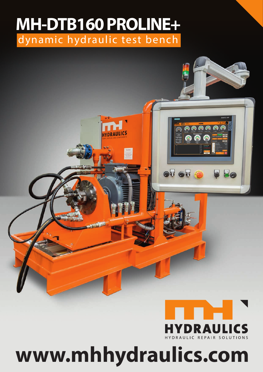## dynamic hydraulic test bench **MH-DTB160 PROLINE+**

DRAULICS



<mark>෧෧෧ඁ෧෧෧</mark>

6 ය

86

 $\bullet$ <sup> $\bullet$ </sup> $\bullet$ 

## **www.mhhydraulics.com**